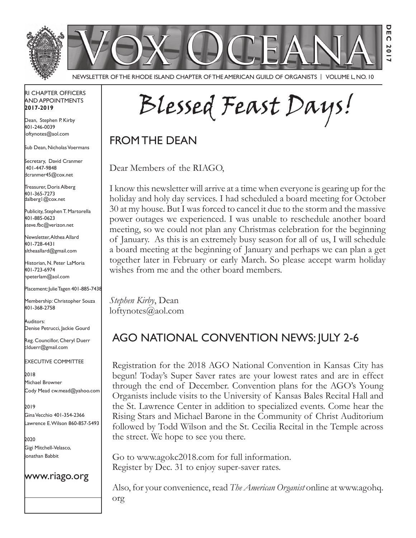

Newsletter of the Rhode Island Chapter of the American Guild of OrganistS | Volume L, No. 10

### RI Chapter Officers and Appointments **2017-2019**

Dean, Stephen P. Kirby 401-246-0039 loftynotes@aol.com

Sub Dean, Nicholas Voermans

Secretary, David Cranmer 401-447-9848 dcranmer45@cox.net

Treasurer, Doris Alberg 401-365-7273 dalberg1@cox.net

I Publicity, Stephen T. Martorella 401-885-0623 steve.fbc@verizon.net

Newsletter, Althea Allard 401-728-4431 altheaallard@gmail.com

Historian, N. Peter LaMoria 401-723-6974 npeterlam@aol.com

Placement: Julie Tagen 401-885-7438

Membership: Christopher Souza 401-368-2758

Auditors: Denise Petrucci, Jackie Gourd

Reg. Councillor, Cheryl Duerr clduerr@gmail.com

Executive Committee

2018 Michael Browner Cody Mead cw.mead@yahoo.com

2019 Gina Vecchio 401-354-2366 Lawrence E. Wilson 860-857-5493

2020 Gigi Mitchell-Velasco, Jonathan Babbit

### www.riago.org

Blessed Feast Days!

**Dec 2017**

FROM THE DEAN

Dear Members of the RIAGO,

I know this newsletter will arrive at a time when everyone is gearing up for the holiday and holy day services. I had scheduled a board meeting for October 30 at my house. But I was forced to cancel it due to the storm and the massive power outages we experienced. I was unable to reschedule another board meeting, so we could not plan any Christmas celebration for the beginning of January. As this is an extremely busy season for all of us, I will schedule a board meeting at the beginning of January and perhaps we can plan a get together later in February or early March. So please accept warm holiday wishes from me and the other board members.

*Stephen Kirby*, Dean loftynotes@aol.com

# AGO National Convention News: July 2-6

Registration for the 2018 AGO National Convention in Kansas City has begun! Today's Super Saver rates are your lowest rates and are in effect through the end of December. Convention plans for the AGO's Young Organists include visits to the University of Kansas Bales Recital Hall and the St. Lawrence Center in addition to specialized events. Come hear the Rising Stars and Michael Barone in the Community of Christ Auditorium followed by Todd Wilson and the St. Cecilia Recital in the Temple across the street. We hope to see you there.

Go to www.agokc2018.com for full information. Register by Dec. 31 to enjoy super-saver rates.

Also, for your convenience, read *The American Organist* online at www.agohq. org